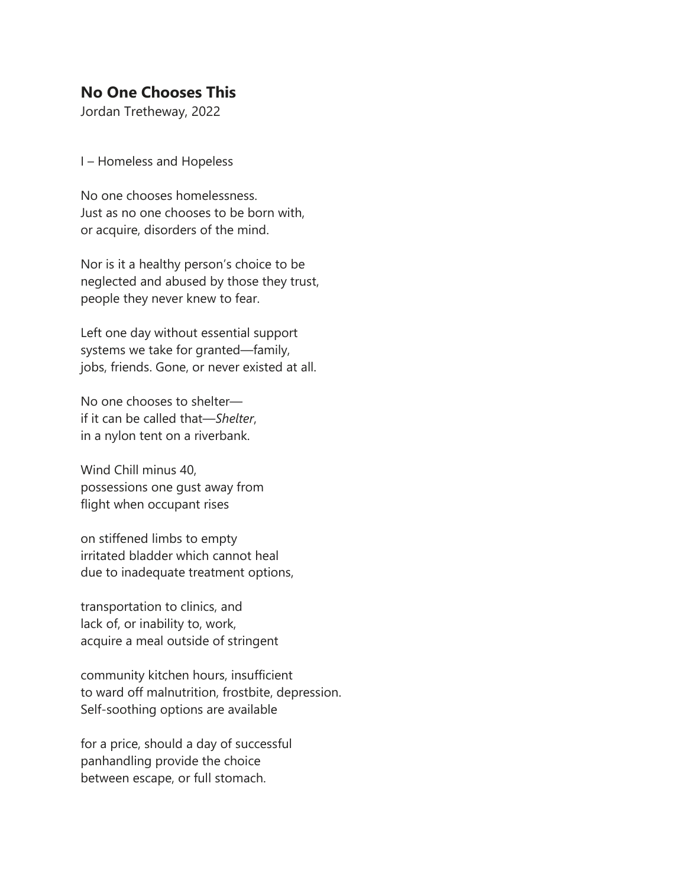## **No One Chooses This**

Jordan Tretheway, 2022

I – Homeless and Hopeless

No one chooses homelessness. Just as no one chooses to be born with, or acquire, disorders of the mind.

Nor is it a healthy person's choice to be neglected and abused by those they trust, people they never knew to fear.

Left one day without essential support systems we take for granted—family, jobs, friends. Gone, or never existed at all.

No one chooses to shelter if it can be called that—*Shelter*, in a nylon tent on a riverbank.

Wind Chill minus 40, possessions one gust away from flight when occupant rises

on stiffened limbs to empty irritated bladder which cannot heal due to inadequate treatment options,

transportation to clinics, and lack of, or inability to, work, acquire a meal outside of stringent

community kitchen hours, insufficient to ward off malnutrition, frostbite, depression. Self-soothing options are available

for a price, should a day of successful panhandling provide the choice between escape, or full stomach.